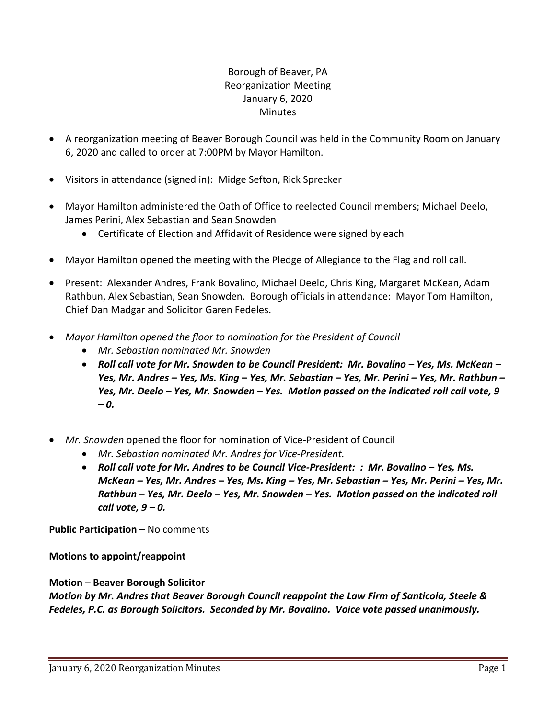# Borough of Beaver, PA Reorganization Meeting January 6, 2020 **Minutes**

- A reorganization meeting of Beaver Borough Council was held in the Community Room on January 6, 2020 and called to order at 7:00PM by Mayor Hamilton.
- Visitors in attendance (signed in): Midge Sefton, Rick Sprecker
- Mayor Hamilton administered the Oath of Office to reelected Council members; Michael Deelo, James Perini, Alex Sebastian and Sean Snowden
	- Certificate of Election and Affidavit of Residence were signed by each
- Mayor Hamilton opened the meeting with the Pledge of Allegiance to the Flag and roll call.
- Present: Alexander Andres, Frank Bovalino, Michael Deelo, Chris King, Margaret McKean, Adam Rathbun, Alex Sebastian, Sean Snowden. Borough officials in attendance: Mayor Tom Hamilton, Chief Dan Madgar and Solicitor Garen Fedeles.
- *Mayor Hamilton opened the floor to nomination for the President of Council* 
	- *Mr. Sebastian nominated Mr. Snowden*
	- **•** Roll call vote for Mr. Snowden to be Council President: Mr. Bovalino Yes, Ms. McKean *Yes, Mr. Andres – Yes, Ms. King – Yes, Mr. Sebastian – Yes, Mr. Perini – Yes, Mr. Rathbun – Yes, Mr. Deelo – Yes, Mr. Snowden – Yes. Motion passed on the indicated roll call vote, 9 – 0.*
- *Mr. Snowden* opened the floor for nomination of Vice-President of Council
	- *Mr. Sebastian nominated Mr. Andres for Vice-President.*
	- **•** Roll call vote for Mr. Andres to be Council Vice-President: : Mr. Bovalino Yes, Ms. *McKean – Yes, Mr. Andres – Yes, Ms. King – Yes, Mr. Sebastian – Yes, Mr. Perini – Yes, Mr. Rathbun – Yes, Mr. Deelo – Yes, Mr. Snowden – Yes. Motion passed on the indicated roll call vote, 9 – 0.*

**Public Participation** – No comments

**Motions to appoint/reappoint**

# **Motion – Beaver Borough Solicitor**

*Motion by Mr. Andres that Beaver Borough Council reappoint the Law Firm of Santicola, Steele & Fedeles, P.C. as Borough Solicitors. Seconded by Mr. Bovalino. Voice vote passed unanimously.*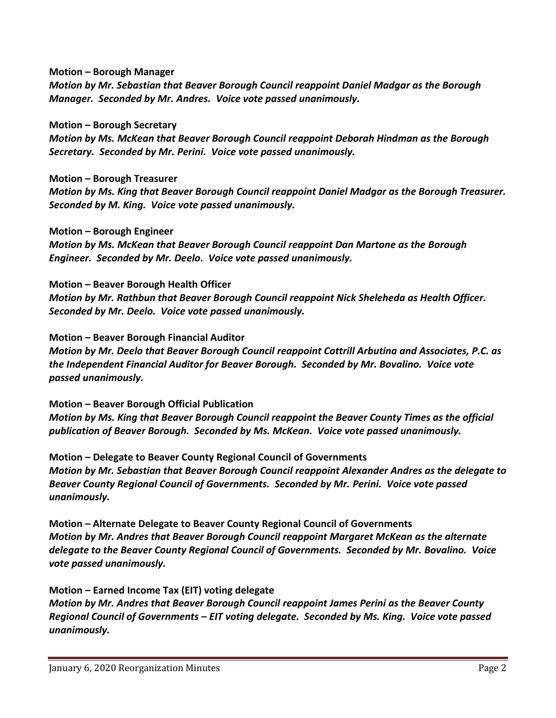**Motion – Borough Manager**

*Motion by Mr. Sebastian that Beaver Borough Council reappoint Daniel Madgar as the Borough Manager. Seconded by Mr. Andres. Voice vote passed unanimously.*

**Motion – Borough Secretary**

*Motion by Ms. McKean that Beaver Borough Council reappoint Deborah Hindman as the Borough Secretary. Seconded by Mr. Perini. Voice vote passed unanimously.*

**Motion – Borough Treasurer**

*Motion by Ms. King that Beaver Borough Council reappoint Daniel Madgar as the Borough Treasurer. Seconded by M. King. Voice vote passed unanimously.*

**Motion – Borough Engineer**

*Motion by Ms. McKean that Beaver Borough Council reappoint Dan Martone as the Borough Engineer. Seconded by Mr. Deelo. Voice vote passed unanimously.* 

**Motion – Beaver Borough Health Officer**

*Motion by Mr. Rathbun that Beaver Borough Council reappoint Nick Sheleheda as Health Officer. Seconded by Mr. Deelo. Voice vote passed unanimously.*

**Motion – Beaver Borough Financial Auditor**

*Motion by Mr. Deelo that Beaver Borough Council reappoint Cottrill Arbutina and Associates, P.C. as the Independent Financial Auditor for Beaver Borough. Seconded by Mr. Bovalino. Voice vote passed unanimously.* 

**Motion – Beaver Borough Official Publication** *Motion by Ms. King that Beaver Borough Council reappoint the Beaver County Times as the official publication of Beaver Borough. Seconded by Ms. McKean. Voice vote passed unanimously.*

**Motion – Delegate to Beaver County Regional Council of Governments** *Motion by Mr. Sebastian that Beaver Borough Council reappoint Alexander Andres as the delegate to Beaver County Regional Council of Governments. Seconded by Mr. Perini. Voice vote passed unanimously.*

**Motion – Alternate Delegate to Beaver County Regional Council of Governments** *Motion by Mr. Andres that Beaver Borough Council reappoint Margaret McKean as the alternate delegate to the Beaver County Regional Council of Governments. Seconded by Mr. Bovalino. Voice vote passed unanimously.* 

**Motion – Earned Income Tax (EIT) voting delegate**

*Motion by Mr. Andres that Beaver Borough Council reappoint James Perini as the Beaver County Regional Council of Governments – EIT voting delegate. Seconded by Ms. King. Voice vote passed unanimously.*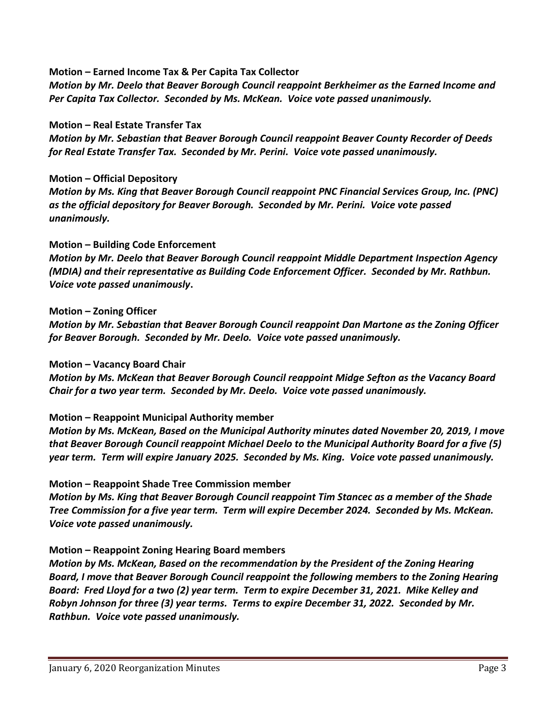**Motion – Earned Income Tax & Per Capita Tax Collector**

*Motion by Mr. Deelo that Beaver Borough Council reappoint Berkheimer as the Earned Income and Per Capita Tax Collector. Seconded by Ms. McKean. Voice vote passed unanimously.*

#### **Motion – Real Estate Transfer Tax**

*Motion by Mr. Sebastian that Beaver Borough Council reappoint Beaver County Recorder of Deeds for Real Estate Transfer Tax. Seconded by Mr. Perini. Voice vote passed unanimously.*

#### **Motion – Official Depository**

*Motion by Ms. King that Beaver Borough Council reappoint PNC Financial Services Group, Inc. (PNC) as the official depository for Beaver Borough. Seconded by Mr. Perini. Voice vote passed unanimously.*

### **Motion – Building Code Enforcement**

*Motion by Mr. Deelo that Beaver Borough Council reappoint Middle Department Inspection Agency (MDIA) and their representative as Building Code Enforcement Officer. Seconded by Mr. Rathbun. Voice vote passed unanimously***.**

#### **Motion – Zoning Officer**

*Motion by Mr. Sebastian that Beaver Borough Council reappoint Dan Martone as the Zoning Officer for Beaver Borough. Seconded by Mr. Deelo. Voice vote passed unanimously.*

#### **Motion – Vacancy Board Chair**

*Motion by Ms. McKean that Beaver Borough Council reappoint Midge Sefton as the Vacancy Board Chair for a two year term. Seconded by Mr. Deelo. Voice vote passed unanimously.*

# **Motion – Reappoint Municipal Authority member**

*Motion by Ms. McKean, Based on the Municipal Authority minutes dated November 20, 2019, I move that Beaver Borough Council reappoint Michael Deelo to the Municipal Authority Board for a five (5) year term. Term will expire January 2025. Seconded by Ms. King. Voice vote passed unanimously.*

#### **Motion – Reappoint Shade Tree Commission member**

*Motion by Ms. King that Beaver Borough Council reappoint Tim Stancec as a member of the Shade Tree Commission for a five year term. Term will expire December 2024. Seconded by Ms. McKean. Voice vote passed unanimously.*

# **Motion – Reappoint Zoning Hearing Board members**

*Motion by Ms. McKean, Based on the recommendation by the President of the Zoning Hearing Board, I move that Beaver Borough Council reappoint the following members to the Zoning Hearing Board: Fred Lloyd for a two (2) year term. Term to expire December 31, 2021. Mike Kelley and Robyn Johnson for three (3) year terms. Terms to expire December 31, 2022. Seconded by Mr. Rathbun. Voice vote passed unanimously.*